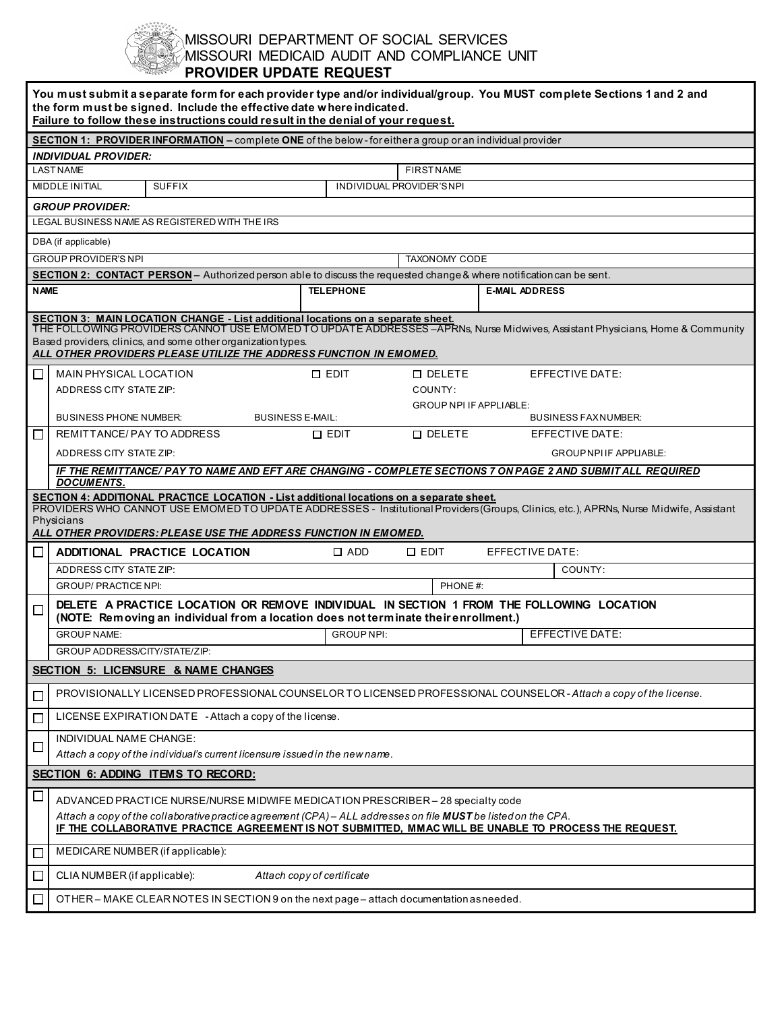## MISSOURI DEPARTMENT OF SOCIAL SERVICES MISSOURI MEDICAID AUDIT AND COMPLIANCE UNIT **PROVIDER UPDATE REQUEST**

| You must submit a separate form for each provider type and/or individual/group. You MUST complete Sections 1 and 2 and<br>the form must be signed. Include the effective date where indicated.<br>Failure to follow these instructions could result in the denial of your request.                                                                                                                                                            |                                                                                                                                                                                                                                                                                                                   |                                                                                                             |                                |                                               |  |  |  |  |  |
|-----------------------------------------------------------------------------------------------------------------------------------------------------------------------------------------------------------------------------------------------------------------------------------------------------------------------------------------------------------------------------------------------------------------------------------------------|-------------------------------------------------------------------------------------------------------------------------------------------------------------------------------------------------------------------------------------------------------------------------------------------------------------------|-------------------------------------------------------------------------------------------------------------|--------------------------------|-----------------------------------------------|--|--|--|--|--|
| <b>SECTION 1: PROVIDER INFORMATION -</b> complete ONE of the below-for either a group or an individual provider                                                                                                                                                                                                                                                                                                                               |                                                                                                                                                                                                                                                                                                                   |                                                                                                             |                                |                                               |  |  |  |  |  |
| <b>INDIVIDUAL PROVIDER:</b>                                                                                                                                                                                                                                                                                                                                                                                                                   |                                                                                                                                                                                                                                                                                                                   |                                                                                                             |                                |                                               |  |  |  |  |  |
|                                                                                                                                                                                                                                                                                                                                                                                                                                               | <b>LAST NAME</b>                                                                                                                                                                                                                                                                                                  |                                                                                                             |                                | <b>FIRST NAME</b>                             |  |  |  |  |  |
| <b>SUFFIX</b><br>INDIVIDUAL PROVIDER'S NPI<br>MIDDLE INITIAL                                                                                                                                                                                                                                                                                                                                                                                  |                                                                                                                                                                                                                                                                                                                   |                                                                                                             |                                |                                               |  |  |  |  |  |
| <b>GROUP PROVIDER:</b>                                                                                                                                                                                                                                                                                                                                                                                                                        |                                                                                                                                                                                                                                                                                                                   |                                                                                                             |                                |                                               |  |  |  |  |  |
| LEGAL BUSINESS NAME AS REGISTERED WITH THE IRS                                                                                                                                                                                                                                                                                                                                                                                                |                                                                                                                                                                                                                                                                                                                   |                                                                                                             |                                |                                               |  |  |  |  |  |
|                                                                                                                                                                                                                                                                                                                                                                                                                                               | DBA (if applicable)                                                                                                                                                                                                                                                                                               |                                                                                                             |                                |                                               |  |  |  |  |  |
|                                                                                                                                                                                                                                                                                                                                                                                                                                               | <b>GROUP PROVIDER'S NPI</b><br>SECTION 2: CONTACT PERSON - Authorized person able to discuss the requested change & where notification can be sent.                                                                                                                                                               |                                                                                                             | <b>TAXONOMY CODE</b>           |                                               |  |  |  |  |  |
| <b>NAME</b>                                                                                                                                                                                                                                                                                                                                                                                                                                   |                                                                                                                                                                                                                                                                                                                   | <b>TELEPHONE</b>                                                                                            | <b>E-MAIL ADDRESS</b>          |                                               |  |  |  |  |  |
|                                                                                                                                                                                                                                                                                                                                                                                                                                               |                                                                                                                                                                                                                                                                                                                   |                                                                                                             |                                |                                               |  |  |  |  |  |
| SECTION 3: MAIN LOCATION CHANGE - List additional locations on a separate sheet.<br>THE FOLLOWING PROVIDERS CANNOT USE EMOMED TO UPDATE ADDRESSES –APRNs, Nurse Midwives, Assistant Physicians, Home & Community<br>Based providers, clinics, and some other organization types.<br>ALL OTHER PROVIDERS PLEASE UTILIZE THE ADDRESS FUNCTION IN EMOMED.<br>MAIN PHYSICAL LOCATION<br>$\square$ EDIT<br><b>O DELETE</b><br>EFFECTIVE DATE:<br>⊔ |                                                                                                                                                                                                                                                                                                                   |                                                                                                             |                                |                                               |  |  |  |  |  |
|                                                                                                                                                                                                                                                                                                                                                                                                                                               | ADDRESS CITY STATE ZIP:                                                                                                                                                                                                                                                                                           |                                                                                                             | COUNTY:                        |                                               |  |  |  |  |  |
|                                                                                                                                                                                                                                                                                                                                                                                                                                               |                                                                                                                                                                                                                                                                                                                   |                                                                                                             | <b>GROUP NPI IF APPLIABLE:</b> |                                               |  |  |  |  |  |
|                                                                                                                                                                                                                                                                                                                                                                                                                                               | <b>BUSINESS PHONE NUMBER:</b><br><b>BUSINESS E-MAIL:</b><br>REMITTANCE/PAY TO ADDRESS                                                                                                                                                                                                                             | $\Box$ EDIT                                                                                                 | <b>D</b> DELETE                | <b>BUSINESS FAXNUMBER:</b><br>EFFECTIVE DATE: |  |  |  |  |  |
| □                                                                                                                                                                                                                                                                                                                                                                                                                                             |                                                                                                                                                                                                                                                                                                                   |                                                                                                             |                                | <b>GROUPNPLIF APPLIABLE:</b>                  |  |  |  |  |  |
|                                                                                                                                                                                                                                                                                                                                                                                                                                               | ADDRESS CITY STATE ZIP:                                                                                                                                                                                                                                                                                           | IF THE REMITTANCE/ PAY TO NAME AND EFT ARE CHANGING - COMPLETE SECTIONS 7 ON PAGE 2 AND SUBMIT ALL REQUIRED |                                |                                               |  |  |  |  |  |
|                                                                                                                                                                                                                                                                                                                                                                                                                                               | <b>DOCUMENTS.</b>                                                                                                                                                                                                                                                                                                 |                                                                                                             |                                |                                               |  |  |  |  |  |
| SECTION 4: ADDITIONAL PRACTICE LOCATION - List additional locations on a separate sheet.<br>PROVIDERS WHO CANNOT USE EMOMED TO UPDATE ADDRESSES - Institutional Providers (Groups, Clinics, etc.), APRNs, Nurse Midwife, Assistant<br>Physicians<br>ALL OTHER PROVIDERS: PLEASE USE THE ADDRESS FUNCTION IN EMOMED.                                                                                                                           |                                                                                                                                                                                                                                                                                                                   |                                                                                                             |                                |                                               |  |  |  |  |  |
| ∟                                                                                                                                                                                                                                                                                                                                                                                                                                             | <b>ADDITIONAL PRACTICE LOCATION</b>                                                                                                                                                                                                                                                                               | $\Box$ ADD                                                                                                  | $\square$ EDIT                 | EFFECTIVE DATE:                               |  |  |  |  |  |
|                                                                                                                                                                                                                                                                                                                                                                                                                                               | ADDRESS CITY STATE ZIP:                                                                                                                                                                                                                                                                                           |                                                                                                             |                                | COUNTY:                                       |  |  |  |  |  |
|                                                                                                                                                                                                                                                                                                                                                                                                                                               | <b>GROUP/ PRACTICE NPI:</b>                                                                                                                                                                                                                                                                                       | PHONE#:                                                                                                     |                                |                                               |  |  |  |  |  |
| DELETE A PRACTICE LOCATION OR REMOVE INDIVIDUAL IN SECTION 1 FROM THE FOLLOWING LOCATION<br>□<br>(NOTE: Removing an individual from a location does not terminate their enrollment.)                                                                                                                                                                                                                                                          |                                                                                                                                                                                                                                                                                                                   |                                                                                                             |                                |                                               |  |  |  |  |  |
|                                                                                                                                                                                                                                                                                                                                                                                                                                               | <b>GROUP NAME:</b>                                                                                                                                                                                                                                                                                                | <b>GROUP NPI:</b>                                                                                           |                                | EFFECTIVE DATE:                               |  |  |  |  |  |
| <b>GROUP ADDRESS/CITY/STATE/ZIP:</b>                                                                                                                                                                                                                                                                                                                                                                                                          |                                                                                                                                                                                                                                                                                                                   |                                                                                                             |                                |                                               |  |  |  |  |  |
| SECTION 5: LICENSURE & NAME CHANGES                                                                                                                                                                                                                                                                                                                                                                                                           |                                                                                                                                                                                                                                                                                                                   |                                                                                                             |                                |                                               |  |  |  |  |  |
| ப                                                                                                                                                                                                                                                                                                                                                                                                                                             | PROVISIONALLY LICENSED PROFESSIONAL COUNSELOR TO LICENSED PROFESSIONAL COUNSELOR - Attach a copy of the license.                                                                                                                                                                                                  |                                                                                                             |                                |                                               |  |  |  |  |  |
| $\Box$                                                                                                                                                                                                                                                                                                                                                                                                                                        | LICENSE EXPIRATION DATE - Attach a copy of the license.                                                                                                                                                                                                                                                           |                                                                                                             |                                |                                               |  |  |  |  |  |
| ப                                                                                                                                                                                                                                                                                                                                                                                                                                             | INDIVIDUAL NAME CHANGE:<br>Attach a copy of the individual's current licensure issued in the new name.                                                                                                                                                                                                            |                                                                                                             |                                |                                               |  |  |  |  |  |
| <b>SECTION 6: ADDING ITEMS TO RECORD:</b>                                                                                                                                                                                                                                                                                                                                                                                                     |                                                                                                                                                                                                                                                                                                                   |                                                                                                             |                                |                                               |  |  |  |  |  |
| $\Box$                                                                                                                                                                                                                                                                                                                                                                                                                                        | ADVANCED PRACTICE NURSE/NURSE MIDWIFE MEDICATION PRESCRIBER - 28 specialty code<br>Attach a copy of the collaborative practice agreement (CPA) – ALL addresses on file <b>MUST</b> be listed on the CPA.<br>IF THE COLLABORATIVE PRACTICE AGREEMENT IS NOT SUBMITTED, MMAC WILL BE UNABLE TO PROCESS THE REQUEST. |                                                                                                             |                                |                                               |  |  |  |  |  |
| $\Box$                                                                                                                                                                                                                                                                                                                                                                                                                                        | MEDICARE NUMBER (if applicable):                                                                                                                                                                                                                                                                                  |                                                                                                             |                                |                                               |  |  |  |  |  |
|                                                                                                                                                                                                                                                                                                                                                                                                                                               |                                                                                                                                                                                                                                                                                                                   |                                                                                                             |                                |                                               |  |  |  |  |  |
| $\Box$                                                                                                                                                                                                                                                                                                                                                                                                                                        | CLIA NUMBER (if applicable):                                                                                                                                                                                                                                                                                      | Attach copy of certificate                                                                                  |                                |                                               |  |  |  |  |  |